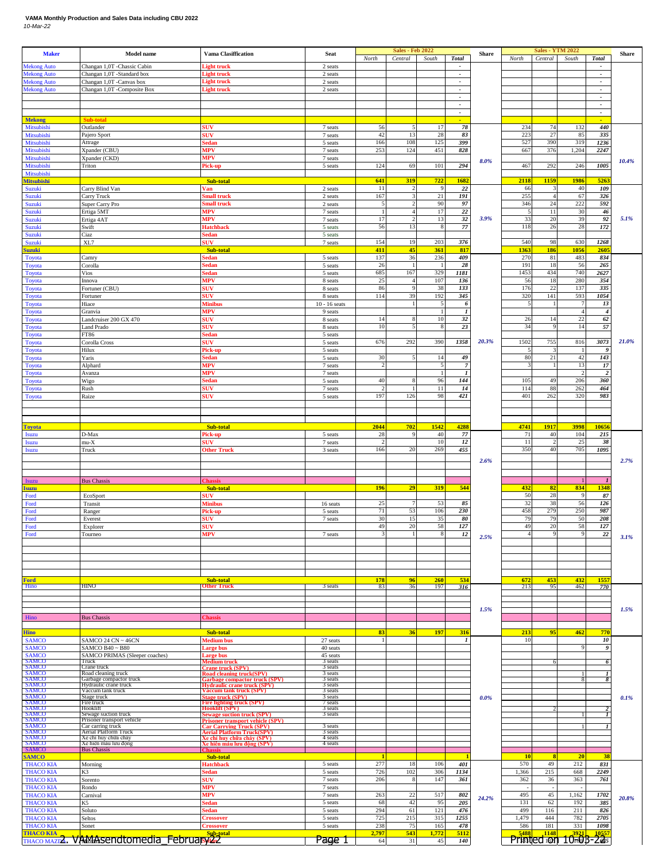## **VAMA Monthly Production and Sales Data including CBU 2022** *10-Mar-22*

| <b>Maker</b>                              | <b>Model name</b>                                      | <b>Vama Clasiffication</b>                                                              | Seat                 | North                         | <b>Sales - Feb 2022</b><br>Central | South                 | <b>Total</b>                                         | Share | North        | <b>Sales - YTM 2022</b><br>Central | South                 | <b>Total</b>                                            | Share |
|-------------------------------------------|--------------------------------------------------------|-----------------------------------------------------------------------------------------|----------------------|-------------------------------|------------------------------------|-----------------------|------------------------------------------------------|-------|--------------|------------------------------------|-----------------------|---------------------------------------------------------|-------|
| <b>Mekong Auto</b>                        | Changan 1,0T -Chassic Cabin                            | light truck                                                                             | 2 seats              |                               |                                    |                       |                                                      |       |              |                                    |                       |                                                         |       |
| <b>Mekong Auto</b><br><b>Mekong Auto</b>  | Changan 1,0T -Standard box<br>Changan 1,0T -Canvas box | light truck<br><b>Light truck</b>                                                       | 2 seats<br>2 seats   |                               |                                    |                       | $\overline{\phantom{a}}$<br>$\overline{\phantom{a}}$ |       |              |                                    |                       | $\overline{\phantom{a}}$<br>$\mathcal{L}_{\mathcal{A}}$ |       |
| <b>Mekong Auto</b>                        | Changan 1,0T -Composite Box                            | Light truck                                                                             | 2 seats              |                               |                                    |                       | $\overline{\phantom{a}}$                             |       |              |                                    |                       | $\overline{\phantom{a}}$                                |       |
|                                           |                                                        |                                                                                         |                      |                               |                                    |                       | $\overline{\phantom{a}}$<br>$\overline{\phantom{a}}$ |       |              |                                    |                       | $\overline{\phantom{a}}$<br>$\epsilon$                  |       |
| <b>Mekong</b>                             | sub-total                                              |                                                                                         |                      |                               |                                    |                       | $\overline{\phantom{a}}$<br>÷.                       |       |              |                                    |                       | $\blacksquare$<br>÷                                     |       |
| Mitsubishi                                | Outlander                                              | SUV                                                                                     | 7 seats              | 56                            |                                    | 17                    | 78                                                   |       | 234          | 74                                 | 132                   | 440                                                     |       |
| Mitsubishi<br>Mitsubishi                  | Pajero Sport<br>Attrage                                | SUV<br>sedan                                                                            | 7 seats<br>5 seats   | 42<br>166                     | 13<br>108                          | 28<br>125             | 83<br>399                                            |       | 223<br>527   | 27<br>390                          | 85<br>319             | 335<br>1236                                             |       |
| Mitsubishi                                | Xpander (CBU)                                          | MPV                                                                                     | 7 seats              | 253                           | 124                                | 451                   | 828                                                  |       | 667          | 376                                | 1,204                 | 2247                                                    |       |
| Mitsubishi<br>Mitsubishi                  | Xpander (CKD)<br>Triton                                | MPV<br>Pick-u                                                                           | 7 seats<br>5 seats   | 124                           | 69                                 | 101                   | 294                                                  | 8.0%  | 467          | 292                                | 246                   | 1005                                                    | 10.4% |
| Mitsubishi                                |                                                        |                                                                                         |                      | 641                           |                                    | 722                   | 1682                                                 |       |              | 1159                               | 1986                  | 5263                                                    |       |
| <b>Mitsubishi</b><br>Suzuki               | Carry Blind Van                                        | <b>Sub-total</b><br>Van                                                                 | 2 seats              | 11                            | 319                                | 9                     | 22                                                   |       | 2118<br>66   |                                    | 40                    | 109                                                     |       |
| Suzuki<br><b>Suzuki</b>                   | Carry Truck<br>Super Carry Pro                         | small truck<br><b>Small</b> truck                                                       | 2 seats<br>2 seats   | 167<br>5                      |                                    | 21<br>90              | 191<br>97                                            |       | 255<br>346   | 24                                 | 67<br>222             | 326<br>592                                              |       |
| Suzuki                                    | Ertiga 5MT                                             | MPV                                                                                     | 7 seats              | $\overline{1}$                | $\overline{4}$                     | 17                    | 22                                                   |       |              | 11                                 | 30                    | 46                                                      |       |
| Suzuki<br>Suzuki                          | Ertiga 4AT<br>Swift                                    | MPV<br>Hatchback                                                                        | 7 seats<br>5 seats   | 17<br>56                      | 13                                 | 13                    | 32<br>77                                             | 3.9%  | 33<br>118    | 20<br>26                           | 39<br>28              | 92<br>172                                               | 5.1%  |
| Suzuki                                    | Ciaz                                                   | Sedan                                                                                   | 5 seats              |                               |                                    |                       |                                                      |       |              |                                    |                       |                                                         |       |
| Suzuki<br><b>Suzuki</b>                   | XL7                                                    | SUV<br>Sub-total                                                                        | 7 seats              | 154<br>411                    | 19<br>45                           | 203<br>361            | 376<br>817                                           |       | 540<br>1363  | 98<br>186                          | 630<br>1056           | 1268<br>2605                                            |       |
| Toyota                                    | Camry                                                  | sedan                                                                                   | 5 seats              | 137                           | 36                                 | 236                   | 409                                                  |       | 270          | 81                                 | 483                   | 834                                                     |       |
| <b>Toyota</b><br><b>Toyota</b>            | Corolla<br>Vios                                        | sedan<br>sedan                                                                          | 5 seats<br>5 seats   | 26<br>685                     | 167                                | $\overline{1}$<br>329 | 28<br>1181                                           |       | 191<br>1453  | 18<br>434                          | 56<br>740             | 265<br>2627                                             |       |
| Toyota                                    | Innova                                                 | MPV                                                                                     | 8 seats              | 25                            | $\overline{4}$<br>9                | 107                   | 136                                                  |       | 56           | 18                                 | 280                   | 354                                                     |       |
| Toyota<br>Toyota                          | Fortuner (CBU)<br>Fortuner                             | <b>SUV</b><br>SUV                                                                       | 8 seats<br>8 seats   | 86<br>114                     | 39                                 | 38<br>192             | 133<br>345                                           |       | 176<br>320   | 22<br>141                          | 137<br>593            | 335<br>1054                                             |       |
| Toyota                                    | Hiace                                                  | Minibus<br>MPV                                                                          | $10 - 16$ seats      |                               |                                    |                       | 6<br>$\mathbf{I}$                                    |       |              |                                    | $\overline{4}$        | 13<br>$\boldsymbol{4}$                                  |       |
| <b>Toyota</b><br>Toyota                   | Granvia<br>Landcruiser 200 GX 470                      | SUV                                                                                     | 9 seats<br>8 seats   | 14                            |                                    | 10                    | 32                                                   |       | 26           | 14                                 | $22\,$                | 62                                                      |       |
| Toyota<br><b>Toyota</b>                   | Land Prado<br>FT86                                     | <b>SUV</b><br><b>Sedan</b>                                                              | 8 seats              | 10                            |                                    |                       | 23                                                   |       | 34           |                                    | 14                    | 57                                                      |       |
| Toyota                                    | Corolla Cross                                          | SUV                                                                                     | 5 seats<br>5 seats   | 676                           | 292                                | 390                   | 1358                                                 | 20.3% | 1502         | 755                                | 816                   | 3073                                                    | 21.0% |
| <b>Toyota</b><br><b>Toyota</b>            | Hilux<br>Yaris                                         | Pick-up<br>sedan                                                                        | 5 seats<br>5 seats   | 30                            |                                    | 14                    | 49                                                   |       | 80           | 21                                 | 42                    | -9<br>143                                               |       |
| <b>Toyota</b>                             | Alphard                                                | MPV                                                                                     | 7 seats              | $\overline{\phantom{a}}$      |                                    |                       | $\overline{7}$                                       |       |              |                                    | 13                    | 17                                                      |       |
| Toyota<br>Toyota                          | Avanza<br>Wigo                                         | MPV<br>sedan                                                                            | 7 seats<br>5 seats   | 40                            |                                    | 96                    | $\mathbf{I}$<br>144                                  |       | 105          | 49                                 | $\overline{c}$<br>206 | $\overline{\mathbf{c}}$<br>360                          |       |
| <b>Toyota</b>                             | Rush                                                   | SUV                                                                                     | 7 seats              |                               |                                    | 11                    | 14                                                   |       | 114          | 88                                 | 262                   | 464                                                     |       |
| Toyota                                    | Raize                                                  | SUV                                                                                     | 5 seats              | 197                           | 126                                | 98                    | 421                                                  |       | 401          | 262                                | 320                   | 983                                                     |       |
|                                           |                                                        |                                                                                         |                      |                               |                                    |                       |                                                      |       |              |                                    |                       |                                                         |       |
| <b>Toyota</b>                             |                                                        | Sub-total                                                                               |                      | 2044                          | 702                                | 1542                  | 4288                                                 |       | 4741         | 1917                               | 3998                  | 1065                                                    |       |
| Isuzu                                     | D-Max                                                  | <sup>3</sup> ick-up                                                                     | 5 seats              | 28                            |                                    | 40                    | 77                                                   |       | 71           | 40                                 | 104                   | 215                                                     |       |
| <b>Isuzu</b><br><b>Isuzu</b>              | $mu-X$<br>Truck                                        | <b>SUV</b><br><b>Other Truck</b>                                                        | 7 seats<br>3 seats   | $\overline{2}$<br>166         | 20                                 | 10<br>269             | 12<br>455                                            |       | 11<br>350    | 40                                 | 25<br>705             | 38<br>1095                                              |       |
|                                           |                                                        |                                                                                         |                      |                               |                                    |                       |                                                      | 2.6%  |              |                                    |                       |                                                         | 2.7%  |
|                                           |                                                        |                                                                                         |                      |                               |                                    |                       |                                                      |       |              |                                    |                       |                                                         |       |
| <b>Isuzu</b><br><b>Isuzu</b>              | <b>Bus Chassis</b>                                     | <b>Thassis</b><br>Sub-total                                                             |                      | 196                           | 29                                 | 319                   | 544                                                  |       | 432          | 82                                 | 834                   | 1348                                                    |       |
| Ford                                      | EcoSport                                               | <b>SUV</b>                                                                              |                      |                               |                                    |                       |                                                      |       | 50           | 28                                 | 9                     | 87                                                      |       |
| Ford<br>Ford                              | Transit<br>Ranger                                      | Minibus<br>Pick-up                                                                      | 16 seats<br>5 seats  | 25<br>71                      | 53                                 | 53<br>106             | 85<br>230                                            |       | 32<br>458    | 38<br>279                          | 56<br>250             | 126<br>987                                              |       |
| Ford                                      | Everest                                                | SUV                                                                                     | 7 seats              | 30                            | 15                                 | 35                    | 80                                                   |       | 79           | 79                                 | 50                    | 208                                                     |       |
| Ford<br>Ford                              | Explorer<br>Tourneo                                    | SUV<br>ИP                                                                               | 7 seats              | 49<br>$\overline{\mathbf{3}}$ | 20                                 | 58                    | 127<br>12                                            |       | 49           | 20                                 | 58<br>$\alpha$        | 127<br>22                                               |       |
|                                           |                                                        |                                                                                         |                      |                               |                                    |                       |                                                      | 2.5%  |              |                                    |                       |                                                         | 3.1%  |
|                                           |                                                        |                                                                                         |                      |                               |                                    |                       |                                                      |       |              |                                    |                       |                                                         |       |
|                                           |                                                        |                                                                                         |                      |                               |                                    |                       |                                                      |       |              |                                    |                       |                                                         |       |
| <b>Ford</b>                               |                                                        | Sub-total                                                                               |                      | 178                           | 96                                 | 260                   | 534                                                  |       | 672          | 453                                | 432                   | 1557                                                    |       |
| Hino                                      | HINO                                                   | <b>Other Truck</b>                                                                      | 3 seats              | 83                            | 36                                 | 197                   | 316                                                  |       | 213          | 95                                 | 462                   | 770                                                     |       |
|                                           |                                                        |                                                                                         |                      |                               |                                    |                       |                                                      |       |              |                                    |                       |                                                         |       |
| Hino                                      | <b>Bus Chassis</b>                                     | <b>Thassis</b>                                                                          |                      |                               |                                    |                       |                                                      | 1.5%  |              |                                    |                       |                                                         | 1.5%  |
|                                           |                                                        | Sub-total                                                                               |                      | 83                            | 36                                 | 197                   | 316                                                  |       | 213          | 95                                 | 462                   | 770                                                     |       |
| <b>Hino</b><br><b>SAMCO</b>               | SAMCO 24 $CN \sim 46CN$                                | Medium bus                                                                              | 27 seats             |                               |                                    |                       | 1                                                    |       | 10           |                                    |                       | 10                                                      |       |
| <b>SAMCO</b><br><b>SAMCO</b>              | SAMCO B40 $\sim$ B80<br>SAMCO PRIMAS (Sleeper coaches) | Large bus<br><b>Large bus</b>                                                           | 40 seats<br>45 seats |                               |                                    |                       |                                                      |       |              |                                    | $\mathbf Q$           | 9                                                       |       |
| SAMCO<br>SAMCO<br>SAMCO<br>SAMCO<br>SAMCO | Truck<br>Crane truck                                   | <b>Medium</b> truck<br><b>Crane truck (SPV)</b>                                         | 3 seats<br>3 seats   |                               |                                    |                       |                                                      |       |              |                                    |                       | -6                                                      |       |
|                                           | Road cleaning truck<br>Garbage compactor truck         | Road cleaning truck(SPV)                                                                | 3 seats<br>3 seats   |                               |                                    |                       |                                                      |       |              |                                    | -1                    | 8                                                       |       |
| SAMCO                                     | Hydraulic crane truck<br>Vaccum tank truck             | Garbage compactor truck (SPV)<br>Hydraulic crane truck (SPV)<br>Vaccum tank truck (SPV) | 3 seats<br>3 seats   |                               |                                    |                       |                                                      |       |              |                                    |                       |                                                         |       |
| SAMCO<br>SAMCO<br>SAMCO<br>SAMCO<br>SAMCO | Stage truck<br>Fire truck                              | <b>Stage truck (SPV)</b>                                                                | 3 seats<br>7 seats   |                               |                                    |                       |                                                      | 0.0%  |              |                                    |                       |                                                         | 0.1%  |
|                                           | Hooklift<br>Sewage suction truck                       | <b>Fire fighting truck (SPV)</b><br>Hooklift (SPV)<br>Sewage suction truck (SPV)        | 3 seats<br>3 seats   |                               |                                    |                       |                                                      |       |              |                                    |                       |                                                         |       |
| <b>SAMCO</b>                              | Prisoner transport vehicle<br>Car carring truck        | <b>Prisoner transport vehicle (SPV)</b><br><b>Car Carrying Truck (SPV)</b>              | 3 seats              |                               |                                    |                       |                                                      |       |              |                                    |                       |                                                         |       |
| SAMCO<br>SAMCO<br>SAMCO                   | Aerial Platform Truck<br>Xe chi huy chữa cháy          | <u> Aerial Platform Truck(SPV)</u>                                                      | 3 seats<br>4 seats   |                               |                                    |                       |                                                      |       |              |                                    |                       |                                                         |       |
| SAMCO                                     | Xe hiên máu lưu động<br><b>Bus Chassis</b>             | <u>če chỉ huy chữa cháy (SPV)</u><br>Ke hiện máu lưu động (SPV)<br>Chass                | 4 seats              |                               |                                    |                       |                                                      |       |              |                                    |                       |                                                         |       |
| <b>SAMCO</b>                              |                                                        | Sub-total                                                                               |                      |                               |                                    |                       |                                                      |       | 10           |                                    | 20                    | 38                                                      |       |
| <b>THACO KIA</b><br><b>THACO KIA</b>      | Morning<br>K3                                          | <b>Hatchback</b><br>sedan                                                               | 5 seats<br>5 seats   | 277<br>726                    | 18<br>102                          | 106<br>306            | 401<br>1134                                          |       | 570<br>1,366 | 49<br>215                          | 212<br>668            | 831<br>2249                                             |       |
| <b>THACO KIA</b>                          | Sorento                                                | SUV<br><b>MPV</b>                                                                       | 7 seats<br>7 seats   | 206                           | 8                                  | 147                   | 361                                                  | 24.2% | 362          | 36                                 | 363                   | 761                                                     |       |
| <b>THACO KIA</b><br><b>THACO KIA</b>      | Rondo<br>Carnival                                      | <b>MPV</b>                                                                              | 7 seats              | 263                           | 22                                 | 517                   | 802                                                  |       | 495          | 45                                 | 1,162                 | 1702                                                    | 20.8% |
| <b>THACO KIA</b><br><b>THACO KIA</b>      | K5<br>Soluto                                           | Sedan<br>sedan                                                                          | 5 seats<br>5 seats   | 68<br>294                     | 42<br>61                           | 95<br>121             | 205<br>476                                           |       | 131<br>499   | 62<br>116                          | 192<br>211            | 385<br>826                                              |       |
| <b>THACO KIA</b>                          | Seltos                                                 | Crossover                                                                               | 5 seats              | 725                           | 215                                | 315                   | 1255                                                 |       | 1,479        | 444                                | 782                   | 2705                                                    |       |
| <b>THACO KIA</b><br><b>THACO KIA</b>      | Sonet                                                  | <b>Prossover</b>                                                                        | 5 seats              | 238<br>2,797                  | 75<br>543                          | 165<br>1,772          | 478<br>5112                                          |       | 586<br>5488  | 181<br>1148                        | 331<br>3921           | 1098<br>10557                                           |       |
|                                           | THACO MAZD 2. VAMASendtomedia February 22              | Sub-total                                                                               | Page 1               | 64                            | 31                                 | 45                    | 140                                                  |       |              | Printed <sub>1</sub> 00            | $10r605 - 245$        |                                                         |       |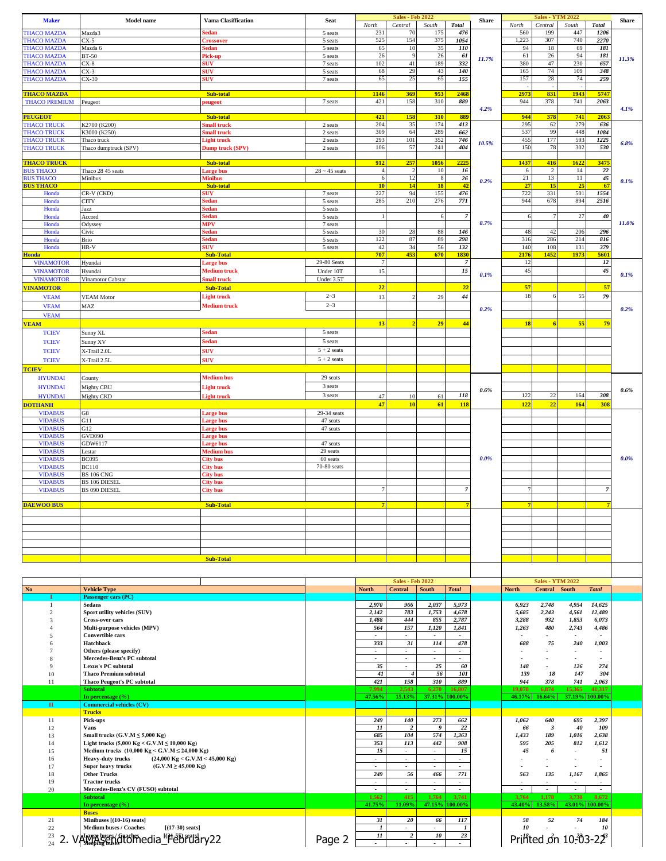| <b>Maker</b>                               | <b>Model name</b>                                                                                                           | <b>Vama Clasiffication</b>              | <b>Seat</b>                     | North                          | <b>Sales - Feb 2022</b><br>Central | South                           | <b>Total</b>                               | <b>Share</b> | North                       | <b>Sales - YTM 2022</b><br>Central | South                    | <b>Total</b>                                         | <b>Share</b> |
|--------------------------------------------|-----------------------------------------------------------------------------------------------------------------------------|-----------------------------------------|---------------------------------|--------------------------------|------------------------------------|---------------------------------|--------------------------------------------|--------------|-----------------------------|------------------------------------|--------------------------|------------------------------------------------------|--------------|
| <b>FHACO MAZDA</b>                         | Mazda3                                                                                                                      | edan                                    | 5 seats                         | 231                            | 70                                 | 175                             | 476                                        |              | 560                         | 199                                | 447                      | 1206                                                 |              |
| <b>HACO MAZDA</b><br><b>HACO MAZDA</b>     | $CX-5$<br>Mazda 6                                                                                                           | <b>Crossover</b><br>sedan               | 5 seats<br>5 seats              | 525<br>65                      | 154<br>10                          | 375<br>35                       | 1054<br>110                                |              | 1,223<br>94                 | 307<br>18                          | 740<br>69                | 2270<br>181                                          |              |
| <b>FHACO MAZDA</b>                         | <b>BT-50</b>                                                                                                                | Pick-up                                 | 5 seats                         | 26                             | 9                                  | 26                              | 61                                         | 11.7%        | 61                          | 26                                 | 94                       | 181                                                  | 11.3%        |
| <b>HACO MAZDA</b><br><b>HACO MAZDA</b>     | $CX-8$<br>$CX-3$                                                                                                            | <b>SUV</b><br><b>SUV</b>                | 7 seats<br>5 seats              | 102<br>68                      | 41<br>29                           | 189<br>43                       | 332<br>140                                 |              | 380<br>165                  | 47<br>74                           | 230<br>109               | 657<br>348                                           |              |
| <b>FHACO MAZDA</b>                         | $CX-30$                                                                                                                     | šUV                                     | 7 seats                         | 65                             | 25                                 | 65                              | 155                                        |              | 157                         | 28                                 | 74                       | 259                                                  |              |
|                                            |                                                                                                                             |                                         |                                 |                                |                                    |                                 |                                            |              |                             |                                    |                          |                                                      |              |
| <b>THACO MAZDA</b><br><b>THACO PREMIUM</b> | Peugeot                                                                                                                     | Sub-total<br>eugeot                     | 7 seats                         | 1146<br>421                    | 369<br>158                         | 953<br>310                      | 2468<br>889                                |              | 2973<br>944                 | 831<br>378                         | 1943<br>741              | 5747<br>2063                                         |              |
| <b>PEUGEOT</b>                             |                                                                                                                             |                                         |                                 |                                |                                    |                                 | 889                                        | 4.2%         |                             |                                    |                          |                                                      | 4.1%         |
| <b>THACO TRUCK</b>                         | K2700 (K200)                                                                                                                | Sub-total<br>mall truck                 | 2 seats                         | 421<br>204                     | 158<br>35                          | 310<br>174                      | 413                                        |              | 944<br>295                  | 378<br>62                          | 741<br>279               | 2063<br>636                                          |              |
| <b>FHACO TRUCK</b>                         | K3000 (K250)                                                                                                                | mall truck                              | 2 seats                         | 309                            | 64                                 | 289                             | 662                                        |              | 537                         | 99                                 | 448                      | 1084                                                 |              |
| <b>FHACO TRUCK</b><br><b>THACO TRUCK</b>   | Thaco truck<br>Thaco dumptruck (SPV)                                                                                        | <b>Light truck</b><br>Dump truck (SPV)  | 2 seats<br>2 seats              | 293<br>106                     | 101<br>57                          | 352<br>241                      | 746<br>404                                 | 10.5%        | 455<br>150                  | 177<br>78                          | 593<br>302               | 1225<br>530                                          | 6.8%         |
|                                            |                                                                                                                             |                                         |                                 |                                |                                    |                                 |                                            |              |                             |                                    |                          |                                                      |              |
| <b>THACO TRUCK</b><br><b>BUS THACO</b>     | Thaco 28 45 seats                                                                                                           | Sub-total<br>Large bus                  | $28 \sim 45$ seats              | 912<br>$\overline{4}$          | 257<br>$\overline{c}$              | 1056<br>10                      | 2225<br>16                                 |              | 1437<br>6                   | 416<br>$\overline{c}$              | 1622<br>14               | 3475<br>$\bf{22}$                                    |              |
| <b>BUS THACO</b>                           | Minibus                                                                                                                     | <b>Minibus</b>                          |                                 | $\sqrt{6}$                     | 12                                 | $\,$ 8 $\,$                     | 26                                         | 0.2%         | 21                          | 13                                 | $11\,$                   | 45                                                   | 0.1%         |
| <b>BUS THACO</b><br>Honda                  | CR-V (CKD)                                                                                                                  | Sub-total<br><b>SUV</b>                 | 7 seats                         | 10<br>227                      | 14<br>94                           | 18<br>155                       | 42<br>476                                  |              | 27<br>722                   | 15<br>331                          | 25<br>501                | 67<br>1554                                           |              |
| Honda                                      | CITY                                                                                                                        | sedan                                   | 5 seats                         | 285                            | 210                                | 276                             | 771                                        |              | 944                         | 678                                | 894                      | 2516                                                 |              |
| Honda<br>Honda                             | Jazz<br>Accord                                                                                                              | <b>Sedan</b><br>sedan                   | 5 seats<br>5 seats              | $\overline{1}$                 |                                    | 6                               | $\overline{7}$                             |              | 6                           | $\overline{7}$                     | 27                       | 40                                                   |              |
| Honda                                      | Odyssey                                                                                                                     | MPV                                     | 7 seats                         |                                |                                    |                                 |                                            | 8.7%         |                             |                                    |                          |                                                      | 11.0%        |
| Honda<br>Honda                             | Civic                                                                                                                       | sedan<br>sedan                          | 5 seats<br>5 seats              | 30<br>122                      | 28<br>87                           | 88<br>89                        | 146<br>298                                 |              | 48<br>316                   | 42<br>286                          | 206<br>214               | 296<br>816                                           |              |
| Honda                                      | Brio<br>HR-V                                                                                                                | <b>SUV</b>                              | 5 seats                         | 42                             | 34                                 | 56                              | 132                                        |              | 140                         | 108                                | 131                      | 379                                                  |              |
| Honda                                      |                                                                                                                             | <b>Sub-Total</b>                        |                                 | 707                            | 453                                | 670                             | 1830                                       |              | 2176                        | 1452                               | 1973                     | 5601                                                 |              |
| <b>VINAMOTOR</b><br><b>VINAMOTOR</b>       | Hyundai<br>Hyundai                                                                                                          | <b>Large bus</b><br><b>Medium</b> truck | 29-80 Seats<br>Under 10T        | $7\phantom{.0}$<br>15          |                                    |                                 | $\overline{7}$<br>15                       |              | 12<br>45                    |                                    |                          | 12<br>$\sqrt{45}$                                    |              |
| <b>VINAMOTOR</b>                           | Vinamotor Cabstar                                                                                                           | <b>Small</b> truck                      | Under 3.5T                      |                                |                                    |                                 |                                            | 0.1%         |                             |                                    |                          |                                                      | 0.1%         |
| <b>VINAMOTOR</b>                           |                                                                                                                             | <b>Sub-Total</b>                        |                                 | 22                             |                                    |                                 | 22                                         |              | 57                          |                                    |                          | 57                                                   |              |
| <b>VEAM</b>                                | <b>VEAM Motor</b>                                                                                                           | <b>Light truck</b>                      | $2 - 3$                         | 13                             |                                    | 29                              | 44                                         |              | 18                          | 6                                  | 55                       | 79                                                   |              |
| <b>VEAM</b><br><b>VEAM</b>                 | MAZ                                                                                                                         | <b>Medium</b> truck                     | $2 - 3$                         |                                |                                    |                                 |                                            | 0.2%         |                             |                                    |                          |                                                      | 0.2%         |
| <b>VEAM</b>                                |                                                                                                                             |                                         |                                 | 13                             | $\overline{2}$                     | 29                              | 44                                         |              | <b>18</b>                   | 6                                  | 55                       | 79                                                   |              |
| <b>TCIEV</b>                               | Sunny XL                                                                                                                    | Sedan                                   | 5 seats                         |                                |                                    |                                 |                                            |              |                             |                                    |                          |                                                      |              |
| <b>TCIEV</b>                               | Sunny XV                                                                                                                    | Sedan                                   | 5 seats                         |                                |                                    |                                 |                                            |              |                             |                                    |                          |                                                      |              |
| <b>TCIEV</b><br><b>TCIEV</b>               | K-Trail 2.0L<br>X-Trail 2.5L                                                                                                | <b>SUV</b><br>SUV                       | $5 + 2$ seats<br>$5 + 2$ seats  |                                |                                    |                                 |                                            |              |                             |                                    |                          |                                                      |              |
| <b>TCIEV</b>                               |                                                                                                                             |                                         |                                 |                                |                                    |                                 |                                            |              |                             |                                    |                          |                                                      |              |
| <b>HYUNDAI</b>                             | County                                                                                                                      | <b>Medium</b> bus                       | 29 seats                        |                                |                                    |                                 |                                            |              |                             |                                    |                          |                                                      |              |
| <b>HYUNDAI</b>                             | Mighty CBU                                                                                                                  | <b>Light truck</b>                      | 3 seats                         |                                |                                    |                                 |                                            | 0.6%         |                             |                                    |                          |                                                      | 0.6%         |
| <b>HYUNDAI</b>                             | Mighty CKD                                                                                                                  | <b>Light truck</b>                      | 3 seats                         | 47<br>47                       | 10<br>10                           | 61<br>61                        | 118<br>118                                 |              | 122<br>122                  | 22<br>22                           | 164<br>164               | 308<br>308                                           |              |
| <b>DOTHANH</b><br><b>VIDABUS</b>           | G8                                                                                                                          | <b>Large bus</b>                        | 29-34 seats                     |                                |                                    |                                 |                                            |              |                             |                                    |                          |                                                      |              |
| <b>VIDABUS</b>                             | G11                                                                                                                         | <b>Large bus</b>                        | 47 seats                        |                                |                                    |                                 |                                            |              |                             |                                    |                          |                                                      |              |
| <b>VIDABUS</b><br><b>VIDABUS</b>           | G12<br>GVD090                                                                                                               | <b>Large bus</b><br><b>Large bus</b>    | 47 seats                        |                                |                                    |                                 |                                            |              |                             |                                    |                          |                                                      |              |
| <b>VIDABUS</b>                             | GDW6117                                                                                                                     | <b>Large bus</b>                        | 47 seats                        |                                |                                    |                                 |                                            |              |                             |                                    |                          |                                                      |              |
| <b>VIDABUS</b><br><b>VIDABUS</b>           | Lestar<br><b>BC095</b>                                                                                                      | Medium bus<br><b>City bus</b>           | 29 seats<br>60 seats            |                                |                                    |                                 |                                            | 0.0%         |                             |                                    |                          |                                                      | 0.0%         |
| <b>VIDABUS</b>                             | <b>BC110</b>                                                                                                                | <b>City bus</b>                         | 70-80 seats                     |                                |                                    |                                 |                                            |              |                             |                                    |                          |                                                      |              |
| <b>VIDABUS</b>                             | <b>BS 106 CNG</b>                                                                                                           | <b>City bus</b>                         |                                 |                                |                                    |                                 |                                            |              |                             |                                    |                          |                                                      |              |
| <b>VIDABUS</b><br><b>VIDABUS</b>           | <b>BS 106 DIESEL</b><br><b>BS 090 DIESEL</b>                                                                                | <b>City bus</b><br><b>City bus</b>      |                                 |                                |                                    |                                 |                                            |              |                             |                                    |                          |                                                      |              |
|                                            |                                                                                                                             |                                         |                                 |                                |                                    |                                 |                                            |              |                             |                                    |                          |                                                      |              |
| <b>DAEWOO BUS</b>                          |                                                                                                                             | <b>Sub-Total</b>                        |                                 |                                |                                    |                                 |                                            |              |                             |                                    |                          |                                                      |              |
|                                            |                                                                                                                             |                                         |                                 |                                |                                    |                                 |                                            |              |                             |                                    |                          |                                                      |              |
|                                            |                                                                                                                             |                                         |                                 |                                |                                    |                                 |                                            |              |                             |                                    |                          |                                                      |              |
|                                            |                                                                                                                             |                                         |                                 |                                |                                    |                                 |                                            |              |                             |                                    |                          |                                                      |              |
|                                            |                                                                                                                             | <b>Sub-Total</b>                        |                                 |                                |                                    |                                 |                                            |              |                             |                                    |                          |                                                      |              |
|                                            |                                                                                                                             |                                         |                                 |                                |                                    |                                 |                                            |              |                             |                                    |                          |                                                      |              |
|                                            |                                                                                                                             |                                         |                                 |                                | <b>Sales - Feb 2022</b>            |                                 |                                            |              |                             | <b>Sales - YTM 2022</b>            |                          |                                                      |              |
| $\mathbf{No}$                              | <b>Vehicle Type</b>                                                                                                         |                                         |                                 | <b>North</b>                   | <b>Central</b>                     | <b>South</b>                    | <b>Total</b>                               |              | <b>North</b>                | Central South                      |                          | <b>Total</b>                                         |              |
| $\mathbf{1}$                               | Passenger cars (PC)<br>Sedans                                                                                               |                                         |                                 | 2,970                          | 966                                | 2,037                           | 5,973                                      |              | 6,923                       | 2,748                              | 4,954                    | 14,625                                               |              |
| 2                                          | Sport utility vehicles (SUV)                                                                                                |                                         |                                 | 2,142                          | 783                                | 1,753                           | 4,678                                      |              | 5,685                       | 2,243                              | 4,561                    | 12,489                                               |              |
| 3<br>$\overline{4}$                        | <b>Cross-over cars</b><br>Multi-purpose vehicles (MPV)                                                                      |                                         |                                 | 1,488<br>564                   | 444<br>157                         | 855<br>1,120                    | 2,787<br>1,841                             |              | 3,288<br>1,263              | 932<br>480                         | 1,853<br>2,743           | 6,073<br>4,486                                       |              |
| 5                                          | <b>Convertible cars</b>                                                                                                     |                                         |                                 | $\sim$                         | ٠                                  | $\overline{\phantom{a}}$        |                                            |              | $\blacksquare$              | $\overline{a}$                     | $\sim$                   | $\overline{\phantom{a}}$                             |              |
| 6                                          | Hatchback                                                                                                                   |                                         |                                 | 333                            | 31                                 | 114                             | 478                                        |              | 688                         | 75                                 | 240                      | 1,003                                                |              |
| $\overline{7}$<br>8                        | Others (please specify)<br>Mercedes-Benz's PC subtotal                                                                      |                                         |                                 | $\sim$                         | $\overline{\phantom{a}}$           | $\overline{\phantom{a}}$        | $\blacksquare$<br>$\overline{\phantom{a}}$ |              | ٠                           |                                    |                          | $\overline{\phantom{a}}$<br>$\overline{\phantom{a}}$ |              |
| $\mathbf Q$                                | Lexus's PC subtotal                                                                                                         |                                         |                                 | 35                             | $\sim$                             | 25                              | 60                                         |              | 148                         |                                    | 126                      | 274                                                  |              |
| 10<br>11                                   | <b>Thaco Premium subtotal</b><br><b>Thaco Peugeot's PC subtotal</b>                                                         |                                         |                                 | 41<br>421                      | $\overline{4}$<br>158              | 56<br>310                       | 101<br>889                                 |              | 139<br>944                  | 18<br>378                          | 147<br>741               | 304<br>2,063                                         |              |
|                                            | <b>Subtotal</b>                                                                                                             |                                         |                                 | 7,994                          | 2,543                              | 6,270                           | 16,807                                     |              | 19,078                      | 6,874                              | 15,365                   | 41,317                                               |              |
| $\mathbf{H}$                               | In percentage $(\% )$<br><b>Commercial vehicles (CV)</b>                                                                    |                                         |                                 | 47.56%                         | 15.13%                             |                                 | 37.31% 100.00%                             |              | 46.17%                      | 16.64%                             | 37.19%                   | 100.00%                                              |              |
|                                            | <b>Trucks</b>                                                                                                               |                                         |                                 |                                |                                    |                                 |                                            |              |                             |                                    |                          |                                                      |              |
| 11                                         | Pick-ups                                                                                                                    |                                         |                                 | 249                            | 140                                | 273                             | 662<br>22                                  |              | 1,062                       | 640                                | 695                      | 2,397                                                |              |
| 12<br>13                                   | <b>Vans</b><br>Small trucks $(G.V.M \le 5,000$ Kg)                                                                          |                                         | 11<br>685                       | $\overline{\mathbf{c}}$<br>104 | 9<br>574                           | 1,363                           |                                            | 66<br>1,433  | $\boldsymbol{\beta}$<br>189 | 40<br>1,016                        | 109<br>2,638             |                                                      |              |
| 14                                         | Light trucks (5,000 Kg < G.V.M ≤ 10,000 Kg)                                                                                 |                                         | 353                             | 113                            | 442                                | 908                             |                                            | 595          | 205                         | 812                                | 1,612                    |                                                      |              |
| 15<br>16                                   | Medium trucks (10,000 Kg < G.V.M $\leq$ 24,000 Kg)<br>$(24,000 \text{ Kg} <$ G.V.M < 45,000 Kg)<br><b>Heavy-duty trucks</b> |                                         | 15                              | $\sim$<br>ä,                   | $\sim$<br>$\blacksquare$           | 15                              |                                            | 45           | 6                           |                                    | 51<br>٠                  |                                                      |              |
| 17                                         | $(G.V.M \ge 45,000 Kg)$<br>Super heavy trucks                                                                               |                                         |                                 | $\overline{\phantom{a}}$       | $\overline{\phantom{a}}$           | $\overline{\phantom{a}}$        |                                            | $\sim$       | $\overline{a}$              | $\overline{\phantom{a}}$           | $\overline{a}$           |                                                      |              |
| 18<br>19                                   | <b>Other Trucks</b><br><b>Tractor trucks</b>                                                                                |                                         | 249<br>$\overline{\phantom{a}}$ | 56<br>$\blacksquare$           | 466<br>$\overline{\phantom{a}}$    | 771<br>$\overline{\phantom{a}}$ |                                            | 563          | 135                         | 1,167                              | 1,865                    |                                                      |              |
| 20                                         | Mercedes-Benz's CV (FUSO) subtotal                                                                                          |                                         |                                 | $\overline{\phantom{a}}$       | $\blacksquare$                     | $\overline{\phantom{a}}$        | $\blacksquare$                             |              | $\overline{\phantom{a}}$    | $\overline{\phantom{a}}$           | $\overline{\phantom{a}}$ | $\sim$                                               |              |
|                                            | <b>Subtotal</b><br>In percentage $(\% )$                                                                                    |                                         |                                 | 1,562<br>41.75%                | 415<br>11.09%                      | 1,764<br>47.15%                 | 3,741<br>$100.00\%$                        |              | 3,764<br>43.40%             | 1,178<br>13.58%                    | 3,730<br>43.01%          | 8,672<br>100.00%                                     |              |
|                                            | <b>Buses</b>                                                                                                                |                                         |                                 |                                |                                    |                                 |                                            |              |                             |                                    |                          |                                                      |              |
| 21<br>$22\,$                               | Minibuses [(10-16) seats]<br>Medium buses / Coaches<br>$[(17-30) \text{ seats}]$                                            |                                         |                                 | 31<br>$\boldsymbol{l}$         | 20                                 | 66                              | 117<br>$\boldsymbol{l}$                    |              | 58<br>10                    | 52                                 | 74                       | 184<br>10                                            |              |
| 23<br>2.                                   | VAIR SENGTOM edia ['#ebruary22                                                                                              | Page 2                                  | II                              | $\overline{2}$                 | 10                                 | 23                              |                                            |              |                             | Printed on 10-03-22                |                          |                                                      |              |
|                                            |                                                                                                                             |                                         |                                 |                                |                                    |                                 |                                            |              |                             |                                    |                          |                                                      |              |